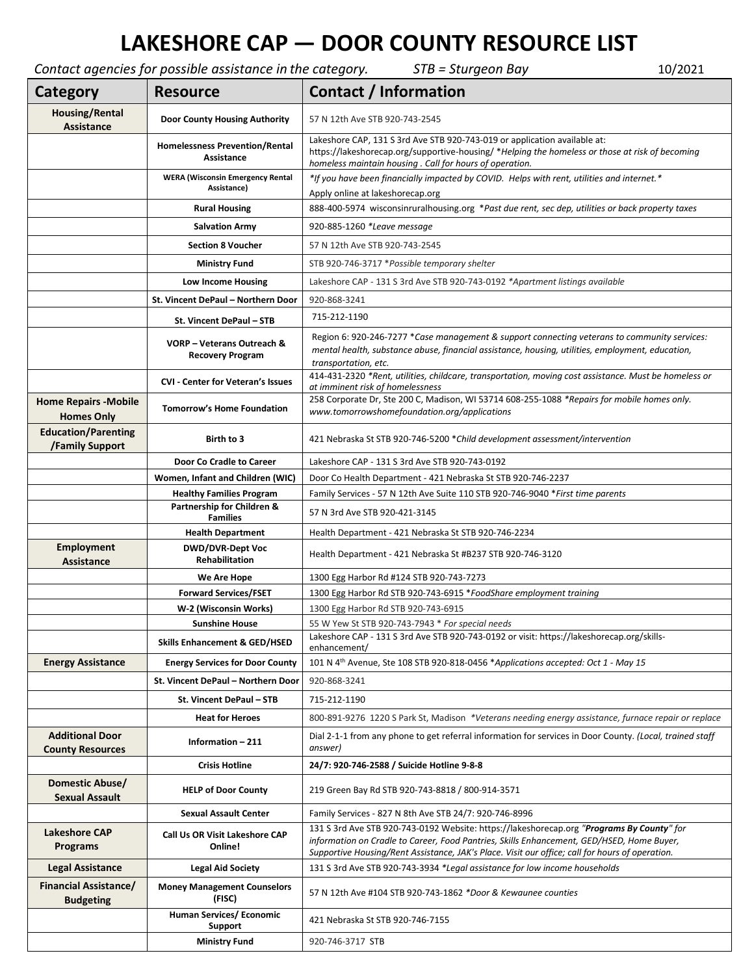## **LAKESHORE CAP — DOOR COUNTY RESOURCE LIST**

*Contact agencies for possible assistance in the category. STB = Sturgeon Bay* 10/2021

| Category                                          | Contact agencies for possible assistance in the category.<br><b>Resource</b>      | <b>PERITHME - JULIE - UTIL</b><br>TOI SORT<br>Contact / Information                                                                                                                                                                                                                       |
|---------------------------------------------------|-----------------------------------------------------------------------------------|-------------------------------------------------------------------------------------------------------------------------------------------------------------------------------------------------------------------------------------------------------------------------------------------|
|                                                   |                                                                                   |                                                                                                                                                                                                                                                                                           |
| <b>Housing/Rental</b><br>Assistance               | <b>Door County Housing Authority</b>                                              | 57 N 12th Ave STB 920-743-2545                                                                                                                                                                                                                                                            |
|                                                   | <b>Homelessness Prevention/Rental</b><br>Assistance                               | Lakeshore CAP, 131 S 3rd Ave STB 920-743-019 or application available at:<br>https://lakeshorecap.org/supportive-housing/ *Helping the homeless or those at risk of becoming<br>homeless maintain housing. Call for hours of operation.                                                   |
|                                                   | <b>WERA (Wisconsin Emergency Rental</b><br>Assistance)                            | *If you have been financially impacted by COVID. Helps with rent, utilities and internet.*<br>Apply online at lakeshorecap.org                                                                                                                                                            |
|                                                   | <b>Rural Housing</b>                                                              | 888-400-5974 wisconsinruralhousing.org *Past due rent, sec dep, utilities or back property taxes                                                                                                                                                                                          |
|                                                   | <b>Salvation Army</b>                                                             | 920-885-1260 *Leave message                                                                                                                                                                                                                                                               |
|                                                   | <b>Section 8 Voucher</b>                                                          | 57 N 12th Ave STB 920-743-2545                                                                                                                                                                                                                                                            |
|                                                   | <b>Ministry Fund</b>                                                              | STB 920-746-3717 * Possible temporary shelter                                                                                                                                                                                                                                             |
|                                                   | Low Income Housing                                                                | Lakeshore CAP - 131 S 3rd Ave STB 920-743-0192 *Apartment listings available                                                                                                                                                                                                              |
|                                                   | St. Vincent DePaul - Northern Door                                                | 920-868-3241                                                                                                                                                                                                                                                                              |
|                                                   |                                                                                   | 715-212-1190                                                                                                                                                                                                                                                                              |
|                                                   | St. Vincent DePaul - STB<br>VORP – Veterans Outreach &<br><b>Recovery Program</b> | Region 6: 920-246-7277 *Case management & support connecting veterans to community services:<br>mental health, substance abuse, financial assistance, housing, utilities, employment, education,<br>transportation, etc.                                                                  |
|                                                   | <b>CVI</b> - Center for Veteran's Issues                                          | 414-431-2320 *Rent, utilities, childcare, transportation, moving cost assistance. Must be homeless or<br>at imminent risk of homelessness                                                                                                                                                 |
| <b>Home Repairs - Mobile</b><br><b>Homes Only</b> | <b>Tomorrow's Home Foundation</b>                                                 | 258 Corporate Dr, Ste 200 C, Madison, WI 53714 608-255-1088 *Repairs for mobile homes only.<br>www.tomorrowshomefoundation.org/applications                                                                                                                                               |
| <b>Education/Parenting</b><br>/Family Support     | Birth to 3                                                                        | 421 Nebraska St STB 920-746-5200 * Child development assessment/intervention                                                                                                                                                                                                              |
|                                                   | Door Co Cradle to Career                                                          | Lakeshore CAP - 131 S 3rd Ave STB 920-743-0192                                                                                                                                                                                                                                            |
|                                                   | Women, Infant and Children (WIC)                                                  | Door Co Health Department - 421 Nebraska St STB 920-746-2237                                                                                                                                                                                                                              |
|                                                   | <b>Healthy Families Program</b>                                                   | Family Services - 57 N 12th Ave Suite 110 STB 920-746-9040 * First time parents                                                                                                                                                                                                           |
|                                                   | Partnership for Children &<br><b>Families</b>                                     | 57 N 3rd Ave STB 920-421-3145                                                                                                                                                                                                                                                             |
|                                                   | <b>Health Department</b>                                                          | Health Department - 421 Nebraska St STB 920-746-2234                                                                                                                                                                                                                                      |
| <b>Employment</b><br>Assistance                   | <b>DWD/DVR-Dept Voc</b><br><b>Rehabilitation</b>                                  | Health Department - 421 Nebraska St #B237 STB 920-746-3120                                                                                                                                                                                                                                |
|                                                   | We Are Hope                                                                       | 1300 Egg Harbor Rd #124 STB 920-743-7273                                                                                                                                                                                                                                                  |
|                                                   | <b>Forward Services/FSET</b>                                                      | 1300 Egg Harbor Rd STB 920-743-6915 *FoodShare employment training                                                                                                                                                                                                                        |
|                                                   | W-2 (Wisconsin Works)                                                             | 1300 Egg Harbor Rd STB 920-743-6915                                                                                                                                                                                                                                                       |
|                                                   | <b>Sunshine House</b>                                                             | 55 W Yew St STB 920-743-7943 * For special needs<br>Lakeshore CAP - 131 S 3rd Ave STB 920-743-0192 or visit: https://lakeshorecap.org/skills-                                                                                                                                             |
|                                                   | <b>Skills Enhancement &amp; GED/HSED</b>                                          | enhancement/                                                                                                                                                                                                                                                                              |
| <b>Energy Assistance</b>                          | <b>Energy Services for Door County</b>                                            | 101 N 4 <sup>th</sup> Avenue, Ste 108 STB 920-818-0456 *Applications accepted: Oct 1 - May 15                                                                                                                                                                                             |
|                                                   | St. Vincent DePaul - Northern Door                                                | 920-868-3241                                                                                                                                                                                                                                                                              |
|                                                   | St. Vincent DePaul - STB                                                          | 715-212-1190                                                                                                                                                                                                                                                                              |
|                                                   | <b>Heat for Heroes</b>                                                            | 800-891-9276 1220 S Park St, Madison *Veterans needing energy assistance, furnace repair or replace                                                                                                                                                                                       |
| <b>Additional Door</b><br><b>County Resources</b> | Information - 211                                                                 | Dial 2-1-1 from any phone to get referral information for services in Door County. (Local, trained staff<br>answer)                                                                                                                                                                       |
|                                                   | <b>Crisis Hotline</b>                                                             | 24/7: 920-746-2588 / Suicide Hotline 9-8-8                                                                                                                                                                                                                                                |
| Domestic Abuse/<br><b>Sexual Assault</b>          | <b>HELP of Door County</b>                                                        | 219 Green Bay Rd STB 920-743-8818 / 800-914-3571                                                                                                                                                                                                                                          |
|                                                   | <b>Sexual Assault Center</b>                                                      | Family Services - 827 N 8th Ave STB 24/7: 920-746-8996                                                                                                                                                                                                                                    |
| <b>Lakeshore CAP</b><br><b>Programs</b>           | Call Us OR Visit Lakeshore CAP<br>Online!                                         | 131 S 3rd Ave STB 920-743-0192 Website: https://lakeshorecap.org "Programs By County" for<br>information on Cradle to Career, Food Pantries, Skills Enhancement, GED/HSED, Home Buyer,<br>Supportive Housing/Rent Assistance, JAK's Place. Visit our office; call for hours of operation. |
| <b>Legal Assistance</b>                           | <b>Legal Aid Society</b>                                                          | 131 S 3rd Ave STB 920-743-3934 *Legal assistance for low income households                                                                                                                                                                                                                |
| <b>Financial Assistance/</b><br><b>Budgeting</b>  | <b>Money Management Counselors</b><br>(FISC)                                      | 57 N 12th Ave #104 STB 920-743-1862 *Door & Kewaunee counties                                                                                                                                                                                                                             |
|                                                   | Human Services/ Economic<br><b>Support</b>                                        | 421 Nebraska St STB 920-746-7155                                                                                                                                                                                                                                                          |
|                                                   | <b>Ministry Fund</b>                                                              | 920-746-3717 STB                                                                                                                                                                                                                                                                          |